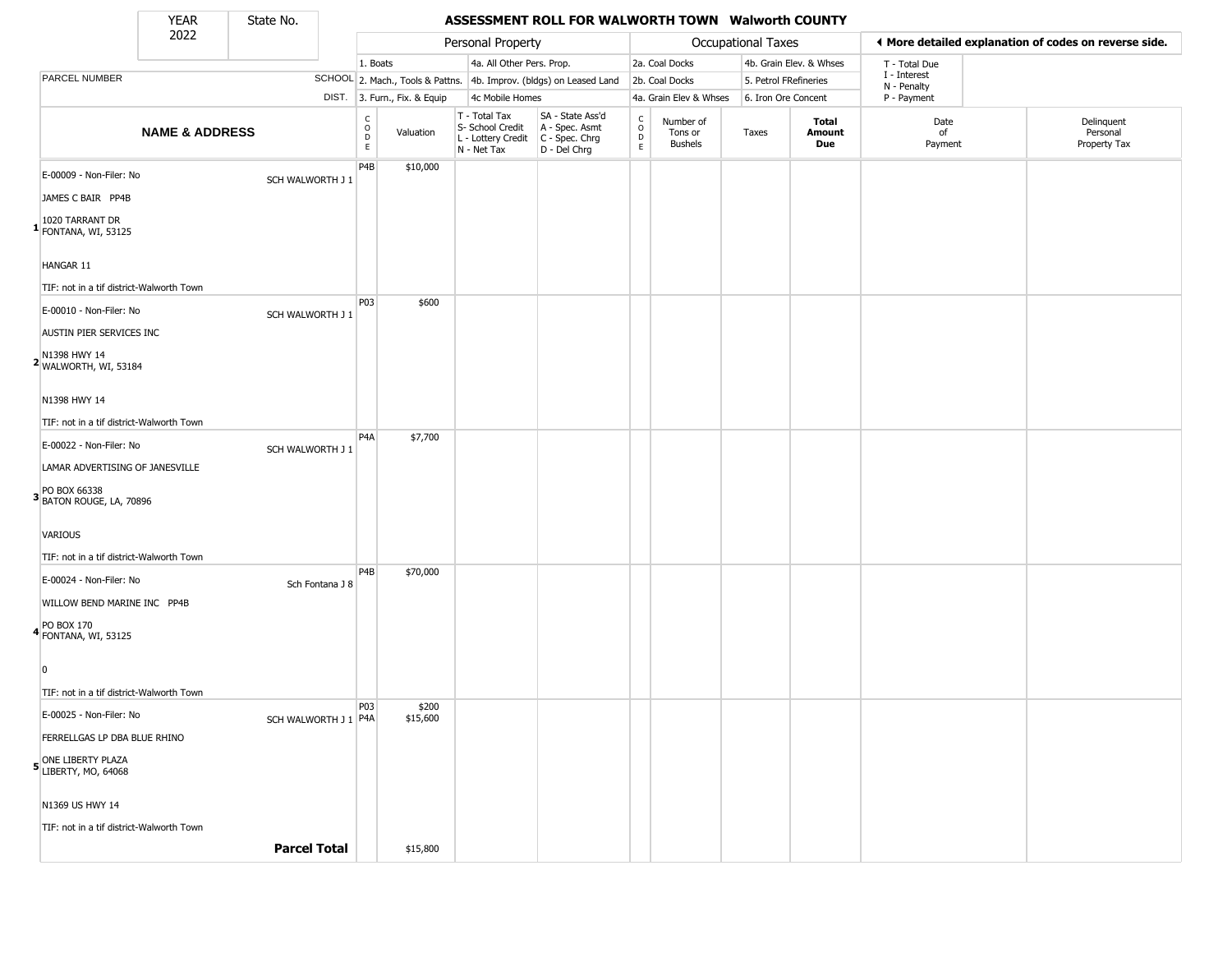State No.

Г

## YEAR State No. **ASSESSMENT ROLL FOR WALWORTH TOWN Walworth COUNTY**

|                                                    | 2022                      |                      | Personal Property                |                              | Occupational Taxes                                                     |                                                                      |                                        |                                        | ♦ More detailed explanation of codes on reverse side. |                         |                            |                                        |
|----------------------------------------------------|---------------------------|----------------------|----------------------------------|------------------------------|------------------------------------------------------------------------|----------------------------------------------------------------------|----------------------------------------|----------------------------------------|-------------------------------------------------------|-------------------------|----------------------------|----------------------------------------|
|                                                    |                           |                      | 1. Boats                         |                              | 4a. All Other Pers. Prop.                                              |                                                                      |                                        | 2a. Coal Docks                         |                                                       | 4b. Grain Elev. & Whses | T - Total Due              |                                        |
| PARCEL NUMBER                                      |                           |                      |                                  |                              |                                                                        | SCHOOL 2. Mach., Tools & Pattns. 4b. Improv. (bldgs) on Leased Land  |                                        | 2b. Coal Docks                         | 5. Petrol FRefineries                                 |                         | I - Interest               |                                        |
|                                                    |                           |                      |                                  | DIST. 3. Furn., Fix. & Equip |                                                                        | 4c Mobile Homes                                                      |                                        | 4a. Grain Elev & Whses                 | 6. Iron Ore Concent                                   |                         | N - Penalty<br>P - Payment |                                        |
|                                                    | <b>NAME &amp; ADDRESS</b> |                      | C<br>$\circ$<br>$\mathsf D$<br>E | Valuation                    | T - Total Tax<br>S- School Credit<br>L - Lottery Credit<br>N - Net Tax | SA - State Ass'd<br>A - Spec. Asmt<br>C - Spec. Chrg<br>D - Del Chrg | $\rm_{o}^{\rm c}$<br>$\mathsf{D}$<br>E | Number of<br>Tons or<br><b>Bushels</b> | Taxes                                                 | Total<br>Amount<br>Due  | Date<br>of<br>Payment      | Delinquent<br>Personal<br>Property Tax |
| E-00009 - Non-Filer: No                            |                           | SCH WALWORTH J 1     | P4B                              | \$10,000                     |                                                                        |                                                                      |                                        |                                        |                                                       |                         |                            |                                        |
| JAMES C BAIR PP4B                                  |                           |                      |                                  |                              |                                                                        |                                                                      |                                        |                                        |                                                       |                         |                            |                                        |
| 1020 TARRANT DR<br><sup>1</sup> FONTANA, WI, 53125 |                           |                      |                                  |                              |                                                                        |                                                                      |                                        |                                        |                                                       |                         |                            |                                        |
| HANGAR 11                                          |                           |                      |                                  |                              |                                                                        |                                                                      |                                        |                                        |                                                       |                         |                            |                                        |
| TIF: not in a tif district-Walworth Town           |                           |                      |                                  |                              |                                                                        |                                                                      |                                        |                                        |                                                       |                         |                            |                                        |
| E-00010 - Non-Filer: No                            |                           | SCH WALWORTH J 1     | P03                              | \$600                        |                                                                        |                                                                      |                                        |                                        |                                                       |                         |                            |                                        |
| AUSTIN PIER SERVICES INC                           |                           |                      |                                  |                              |                                                                        |                                                                      |                                        |                                        |                                                       |                         |                            |                                        |
| N1398 HWY 14<br>2 WALWORTH, WI, 53184              |                           |                      |                                  |                              |                                                                        |                                                                      |                                        |                                        |                                                       |                         |                            |                                        |
| N1398 HWY 14                                       |                           |                      |                                  |                              |                                                                        |                                                                      |                                        |                                        |                                                       |                         |                            |                                        |
| TIF: not in a tif district-Walworth Town           |                           |                      |                                  |                              |                                                                        |                                                                      |                                        |                                        |                                                       |                         |                            |                                        |
| E-00022 - Non-Filer: No                            |                           | SCH WALWORTH J 1     | P <sub>4</sub> A                 | \$7,700                      |                                                                        |                                                                      |                                        |                                        |                                                       |                         |                            |                                        |
| LAMAR ADVERTISING OF JANESVILLE                    |                           |                      |                                  |                              |                                                                        |                                                                      |                                        |                                        |                                                       |                         |                            |                                        |
| PO BOX 66338<br><b>3</b> BATON ROUGE, LA, 70896    |                           |                      |                                  |                              |                                                                        |                                                                      |                                        |                                        |                                                       |                         |                            |                                        |
| VARIOUS                                            |                           |                      |                                  |                              |                                                                        |                                                                      |                                        |                                        |                                                       |                         |                            |                                        |
| TIF: not in a tif district-Walworth Town           |                           |                      | P4B                              | \$70,000                     |                                                                        |                                                                      |                                        |                                        |                                                       |                         |                            |                                        |
| E-00024 - Non-Filer: No                            |                           | Sch Fontana J 8      |                                  |                              |                                                                        |                                                                      |                                        |                                        |                                                       |                         |                            |                                        |
| WILLOW BEND MARINE INC PP4B                        |                           |                      |                                  |                              |                                                                        |                                                                      |                                        |                                        |                                                       |                         |                            |                                        |
| 4 PO BOX 170<br>FONTANA, WI, 53125                 |                           |                      |                                  |                              |                                                                        |                                                                      |                                        |                                        |                                                       |                         |                            |                                        |
| -0                                                 |                           |                      |                                  |                              |                                                                        |                                                                      |                                        |                                        |                                                       |                         |                            |                                        |
| TIF: not in a tif district-Walworth Town           |                           |                      |                                  |                              |                                                                        |                                                                      |                                        |                                        |                                                       |                         |                            |                                        |
| E-00025 - Non-Filer: No                            |                           | SCH WALWORTH J 1 P4A | P03                              | \$200<br>\$15,600            |                                                                        |                                                                      |                                        |                                        |                                                       |                         |                            |                                        |
| FERRELLGAS LP DBA BLUE RHINO                       |                           |                      |                                  |                              |                                                                        |                                                                      |                                        |                                        |                                                       |                         |                            |                                        |
| 5 ONE LIBERTY PLAZA<br>LIBERTY, MO, 64068          |                           |                      |                                  |                              |                                                                        |                                                                      |                                        |                                        |                                                       |                         |                            |                                        |
| N1369 US HWY 14                                    |                           |                      |                                  |                              |                                                                        |                                                                      |                                        |                                        |                                                       |                         |                            |                                        |
| TIF: not in a tif district-Walworth Town           |                           |                      |                                  |                              |                                                                        |                                                                      |                                        |                                        |                                                       |                         |                            |                                        |
|                                                    |                           | <b>Parcel Total</b>  |                                  | \$15,800                     |                                                                        |                                                                      |                                        |                                        |                                                       |                         |                            |                                        |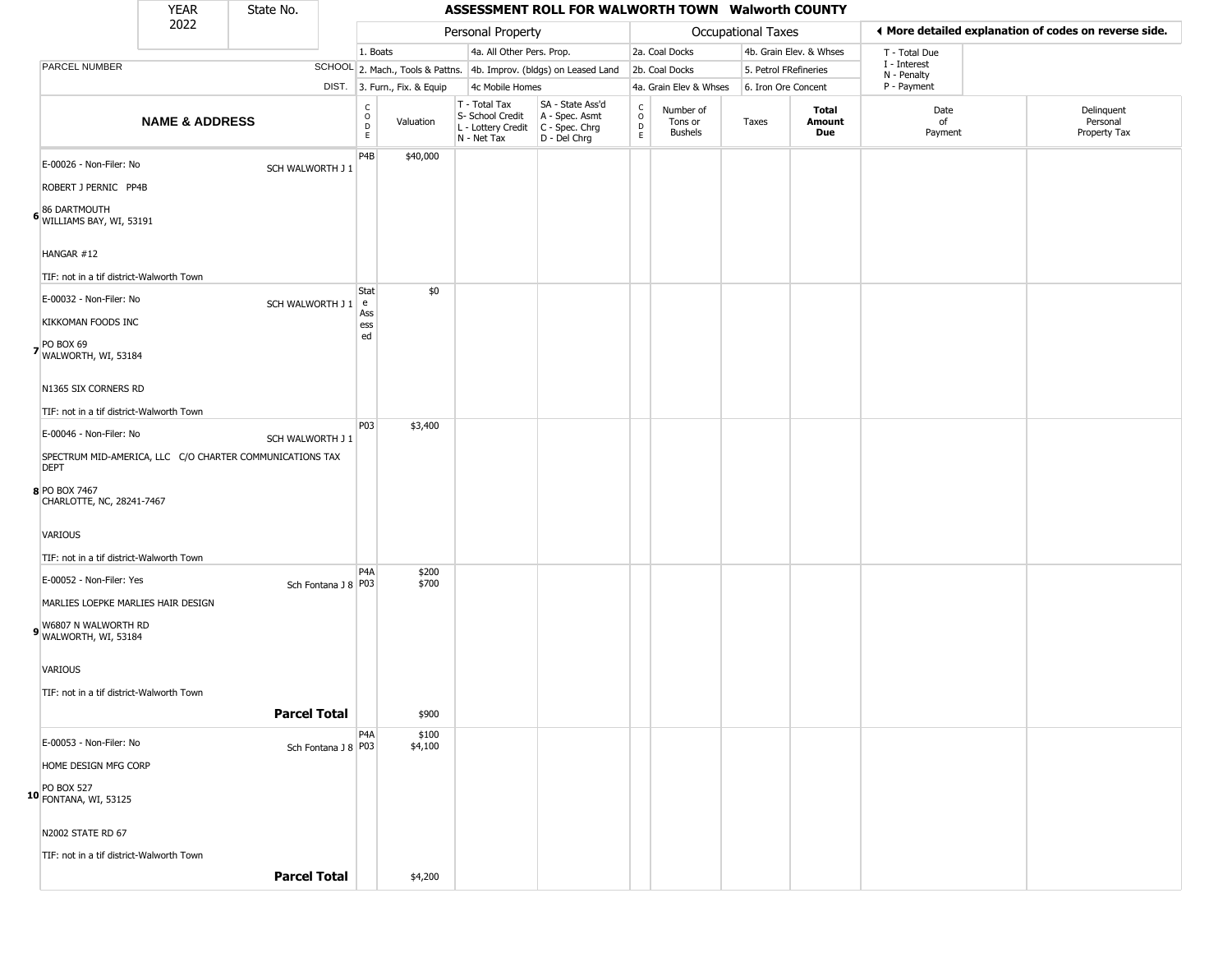### YEAR **ASSESSMENT ROLL FOR WALWORTH TOWN Walworth COUNTY** 2022 DIST. 3. Furn., Fix. & Equip PARCEL NUMBER **NAME & ADDRESS** State No. C O D E Valuation T - Total Tax S- School Credit A - Spec. Asmt L - Lottery Credit C - Spec. Chrg N - Net Tax SA - State Ass'd D - Del Chrg C O D E Number of Tons or Bushels Taxes **Total Amount Due** Date of Payment Delinquent Personal Property Tax Personal Property **Personal Property Personal Taxes** 1. Boats **4a. All Other Pers. Prop.** 2a. Coal Docks 4b. Grain Elev. & Whses SCHOOL 2. Mach., Tools & Pattns. 4b. Improv. (bldgs) on Leased Land 2b. Coal Docks 5. Petrol FRefineries 4c Mobile Homes 4a. Grain Elev & Whses 6. Iron Ore Concent T - Total Due I - Interest N - Penalty P - Payment 3**More detailed explanation of codes on reverse side. 6** WILLIAMS BAY, WI, 53191 E-00026 - Non-Filer: No SCH WALWORTH J 1 ROBERT J PERNIC PP4B 86 DARTMOUTH HANGAR #12 TIF: not in a tif district-Walworth Town P4B \$40,000 **7** WALWORTH, WI, 53184  $E$ -00032 - Non-Filer: No  $SCH WALWORTH J 1 e$ KIKKOMAN FOODS INC PO BOX 69 N1365 SIX CORNERS RD TIF: not in a tif district-Walworth Town **Stat** Ass ess ed \$0 **8** PO BOX 7467 E-00046 - Non-Filer: No SCH WALWORTH J 1 SPECTRUM MID-AMERICA, LLC C/O CHARTER COMMUNICATIONS TAX DEPT CHARLOTTE, NC, 28241-7467 VARIOUS TIF: not in a tif district-Walworth Town P03 \$3,400 **9** WALWORTH, WI, 53184 E-00052 - Non-Filer: Yes MARLIES LOEPKE MARLIES HAIR DESIGN W6807 N WALWORTH RD VARIOUS TIF: not in a tif district-Walworth Town P4A Sch Fontana J 8 P03 \$200 \$700 **Parcel Total** | \$900 **10** FONTANA, WI, 53125 E-00053 - Non-Filer: No Sch Fontana J 8 P03 HOME DESIGN MFG CORP PO BOX 527 N2002 STATE RD 67 TIF: not in a tif district-Walworth Town  $PA<sub>A</sub>$ \$100 \$4,100

**Parcel Total 1 54,200**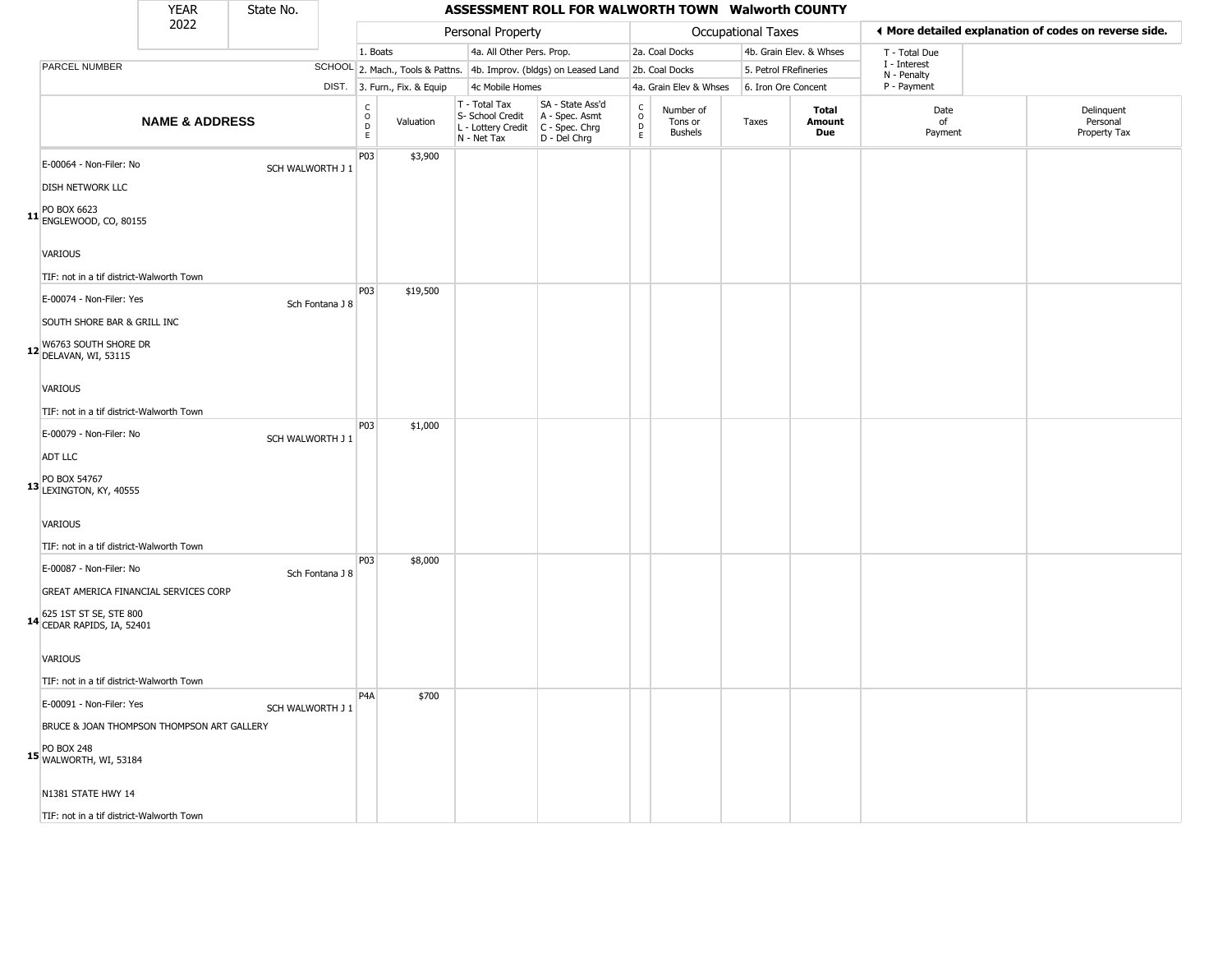### YEAR **ASSESSMENT ROLL FOR WALWORTH TOWN Walworth COUNTY** 2022 DIST. 3. Furn., Fix. & Equip PARCEL NUMBER **NAME & ADDRESS** State No. C O D E Valuation T - Total Tax S- School Credit A - Spec. Asmt L - Lottery Credit C - Spec. Chrg N - Net Tax SA - State Ass'd D - Del Chrg C O D E Number of Tons or Bushels Taxes **Total Amount Due** Date of Payment Delinquent Personal Property Tax Personal Property **Personal Property Personal Taxes** 1. Boats **4a. All Other Pers. Prop.** 2a. Coal Docks 4b. Grain Elev. & Whses SCHOOL 2. Mach., Tools & Pattns. 4b. Improv. (bldgs) on Leased Land 2b. Coal Docks 5. Petrol FRefineries 4c Mobile Homes 4a. Grain Elev & Whses 6. Iron Ore Concent T - Total Due I - Interest N - Penalty P - Payment 3**More detailed explanation of codes on reverse side. 11** ENGLEWOOD, CO, 80155 E-00064 - Non-Filer: No SCH WALWORTH J 1 DISH NETWORK LLC PO BOX 6623 VARIOUS TIF: not in a tif district-Walworth Town P03 \$3,900 **12** DELAVAN, WI, 53115 E-00074 - Non-Filer: Yes Sch Fontana J 8 SOUTH SHORE BAR & GRILL INC W6763 SOUTH SHORE DR VARIOUS TIF: not in a tif district-Walworth Town P03 \$19,500 **13** PO BOX 54767 LEXINGTON, KY, 40555 E-00079 - Non-Filer: No SCH WALWORTH J 1 ADT LLC VARIOUS TIF: not in a tif district-Walworth Town P03 \$1,000 **14** CEDAR RAPIDS, IA, 52401 E-00087 - Non-Filer: No Sch Fontana J 8 GREAT AMERICA FINANCIAL SERVICES CORP 625 1ST ST SE, STE 800 VARIOUS TIF: not in a tif district-Walworth Town P03 \$8,000 **15** PO BOX 248 WALWORTH, WI, 53184 E-00091 - Non-Filer: Yes SCH WALWORTH J 1 BRUCE & JOAN THOMPSON THOMPSON ART GALLERY N1381 STATE HWY 14 P4A \$700

TIF: not in a tif district-Walworth Town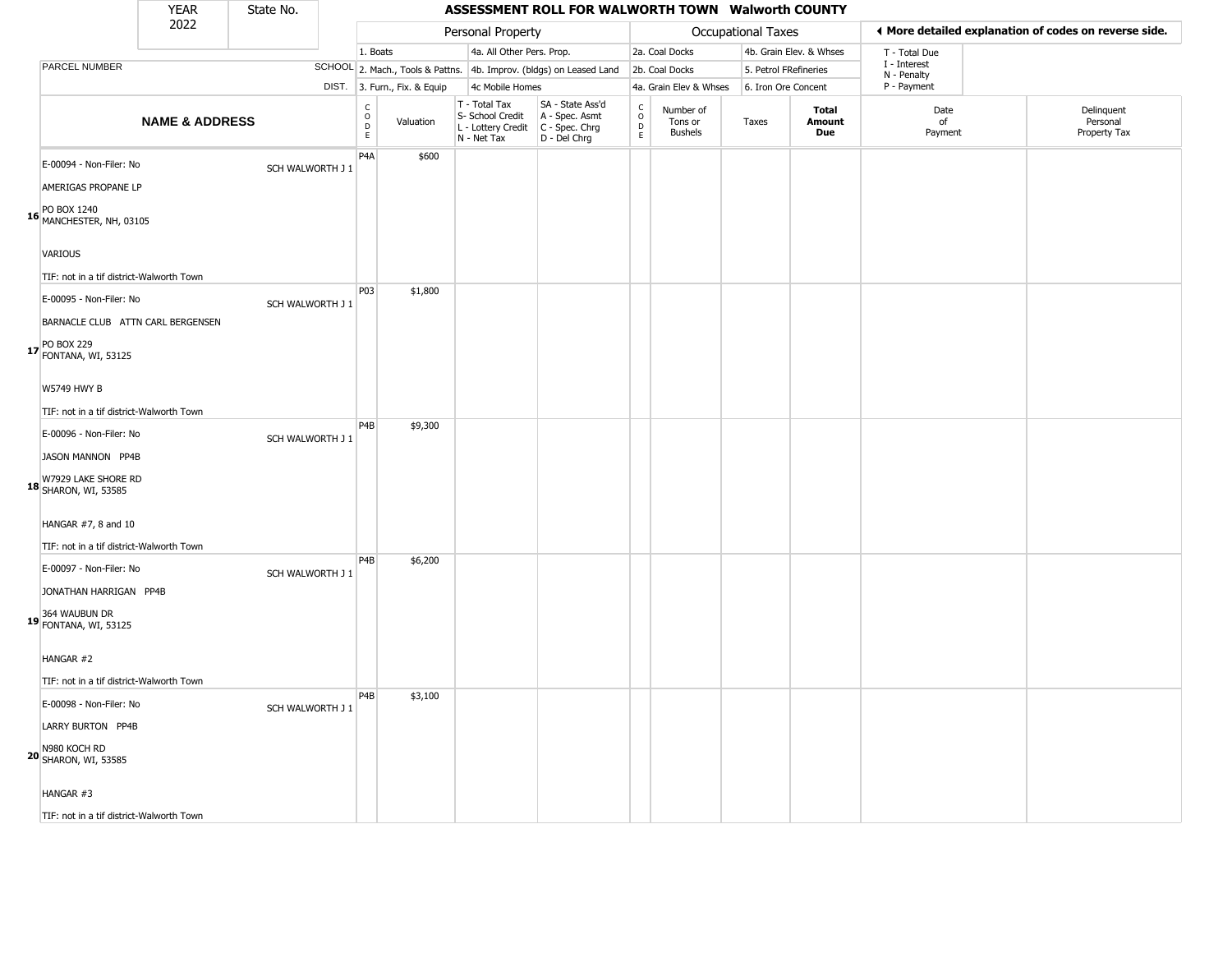| YEAR | State No. |                   | ASSESSMENT ROLL FOR WALWORTH TOWN Walworth COUNTY |
|------|-----------|-------------------|---------------------------------------------------|
| 2022 |           | Personal Property | Occupational Taxes                                |

|                                                                                                                       | 2022                      |                  |                                          |                              | Personal Property                                                      |                                                                      |                                |                                        | <b>Occupational Taxes</b> |                         | ◀ More detailed explanation of codes on reverse side. |                                        |
|-----------------------------------------------------------------------------------------------------------------------|---------------------------|------------------|------------------------------------------|------------------------------|------------------------------------------------------------------------|----------------------------------------------------------------------|--------------------------------|----------------------------------------|---------------------------|-------------------------|-------------------------------------------------------|----------------------------------------|
|                                                                                                                       |                           |                  | 1. Boats                                 |                              | 4a. All Other Pers. Prop.                                              |                                                                      |                                | 2a. Coal Docks                         |                           | 4b. Grain Elev. & Whses | T - Total Due                                         |                                        |
| PARCEL NUMBER                                                                                                         |                           |                  |                                          |                              |                                                                        | SCHOOL 2. Mach., Tools & Pattns. 4b. Improv. (bldgs) on Leased Land  |                                | 2b. Coal Docks                         | 5. Petrol FRefineries     |                         | I - Interest<br>N - Penalty                           |                                        |
|                                                                                                                       |                           |                  |                                          | DIST. 3. Furn., Fix. & Equip | 4c Mobile Homes                                                        |                                                                      |                                | 4a. Grain Elev & Whses                 | 6. Iron Ore Concent       |                         | P - Payment                                           |                                        |
|                                                                                                                       | <b>NAME &amp; ADDRESS</b> |                  | $\rm _o^C$<br>$\mathsf D$<br>$\mathsf E$ | Valuation                    | T - Total Tax<br>S- School Credit<br>L - Lottery Credit<br>N - Net Tax | SA - State Ass'd<br>A - Spec. Asmt<br>C - Spec. Chrg<br>D - Del Chrg | $\rm _o^C$<br>D<br>$\mathsf E$ | Number of<br>Tons or<br><b>Bushels</b> | Taxes                     | Total<br>Amount<br>Due  | Date<br>of<br>Payment                                 | Delinquent<br>Personal<br>Property Tax |
| E-00094 - Non-Filer: No<br>AMERIGAS PROPANE LP                                                                        |                           | SCH WALWORTH J 1 | P <sub>4</sub> A                         | \$600                        |                                                                        |                                                                      |                                |                                        |                           |                         |                                                       |                                        |
| PO BOX 1240<br>16 MANCHESTER, NH, 03105<br><b>VARIOUS</b><br>TIF: not in a tif district-Walworth Town                 |                           |                  |                                          |                              |                                                                        |                                                                      |                                |                                        |                           |                         |                                                       |                                        |
| E-00095 - Non-Filer: No<br>BARNACLE CLUB ATTN CARL BERGENSEN<br>17 PO BOX 229<br>17 FONTANA, WI, 53125                |                           | SCH WALWORTH J 1 | P03                                      | \$1,800                      |                                                                        |                                                                      |                                |                                        |                           |                         |                                                       |                                        |
| <b>W5749 HWY B</b><br>TIF: not in a tif district-Walworth Town<br>E-00096 - Non-Filer: No<br>JASON MANNON PP4B        |                           | SCH WALWORTH J 1 | P4B                                      | \$9,300                      |                                                                        |                                                                      |                                |                                        |                           |                         |                                                       |                                        |
| W7929 LAKE SHORE RD<br><b>18</b> SHARON, WI, 53585<br>HANGAR #7, 8 and 10<br>TIF: not in a tif district-Walworth Town |                           |                  |                                          |                              |                                                                        |                                                                      |                                |                                        |                           |                         |                                                       |                                        |
| E-00097 - Non-Filer: No<br>JONATHAN HARRIGAN PP4B<br>19 364 WAUBUN DR<br>FONTANA, WI, 53125                           |                           | SCH WALWORTH J 1 | P4B                                      | \$6,200                      |                                                                        |                                                                      |                                |                                        |                           |                         |                                                       |                                        |
| HANGAR #2<br>TIF: not in a tif district-Walworth Town<br>E-00098 - Non-Filer: No                                      |                           | SCH WALWORTH J 1 | P <sub>4</sub> B                         | \$3,100                      |                                                                        |                                                                      |                                |                                        |                           |                         |                                                       |                                        |
| LARRY BURTON PP4B<br>N980 KOCH RD<br>20 SHARON, WI, 53585                                                             |                           |                  |                                          |                              |                                                                        |                                                                      |                                |                                        |                           |                         |                                                       |                                        |
| HANGAR #3<br>TIF: not in a tif district-Walworth Town                                                                 |                           |                  |                                          |                              |                                                                        |                                                                      |                                |                                        |                           |                         |                                                       |                                        |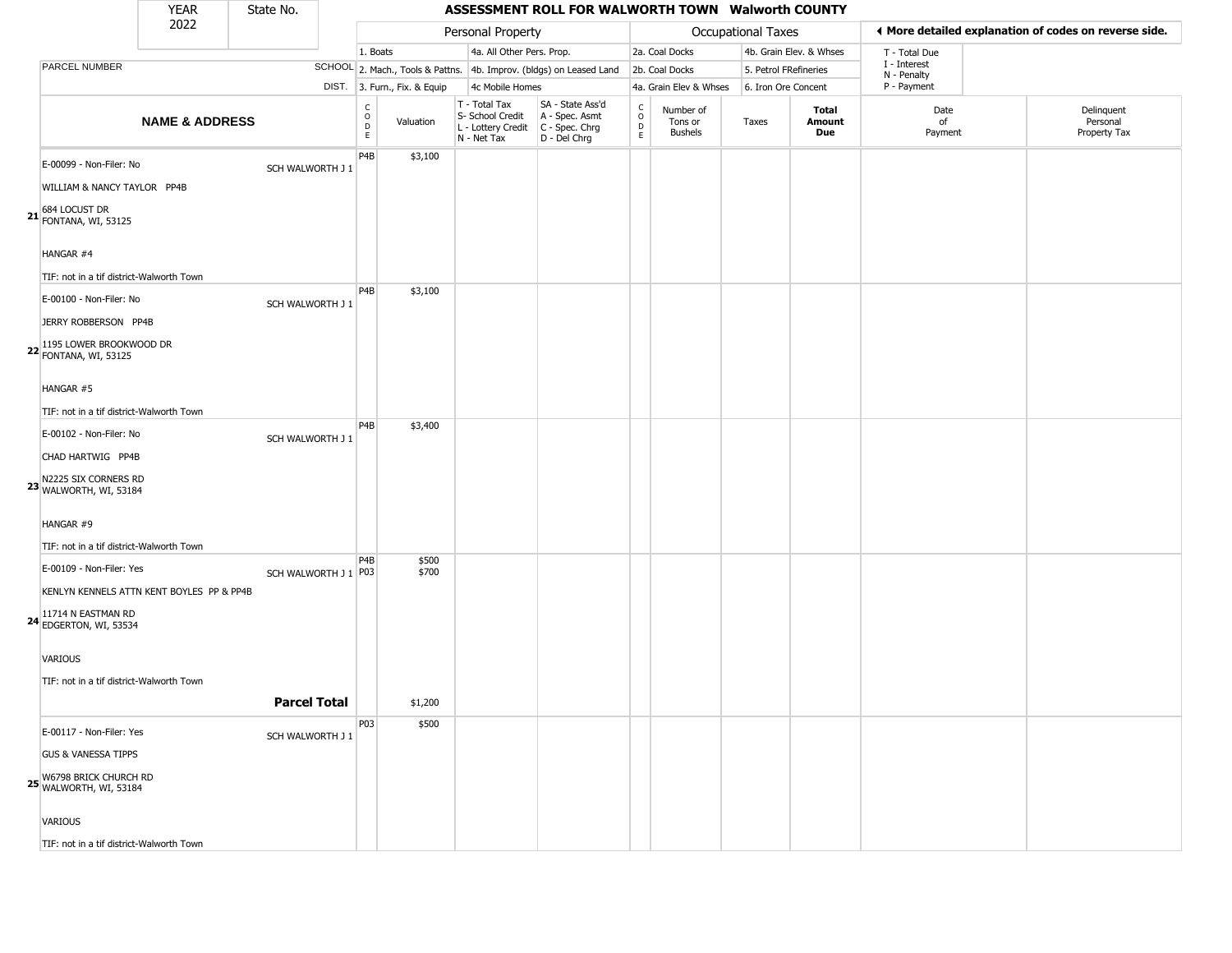### YEAR **ASSESSMENT ROLL FOR WALWORTH TOWN Walworth COUNTY** 2022 DIST. 3. Furn., Fix. & Equip PARCEL NUMBER **NAME & ADDRESS** State No. C O D E Valuation T - Total Tax S- School Credit A - Spec. Asmt L - Lottery Credit C - Spec. Chrg N - Net Tax SA - State Ass'd D - Del Chrg C O D E Number of Tons or Bushels Taxes **Total Amount Due** Date of Payment Delinquent Personal Property Tax Personal Property **Personal Property Personal Taxes** 1. Boats **4a. All Other Pers. Prop.** 2a. Coal Docks 4b. Grain Elev. & Whses SCHOOL 2. Mach., Tools & Pattns. 4b. Improv. (bldgs) on Leased Land 2b. Coal Docks 5. Petrol FRefineries 4c Mobile Homes 4a. Grain Elev & Whses 6. Iron Ore Concent T - Total Due I - Interest N - Penalty P - Payment 3**More detailed explanation of codes on reverse side. 21 FONTANA, WI, 53125** E-00099 - Non-Filer: No SCH WALWORTH J 1 WILLIAM & NANCY TAYLOR PP4B HANGAR #4 TIF: not in a tif district-Walworth Town P4B \$3,100 **22** FONTANA, WI, 53125 E-00100 - Non-Filer: No SCH WALWORTH J 1 JERRY ROBBERSON PP4B 1195 LOWER BROOKWOOD DR HANGAR #5 TIF: not in a tif district-Walworth Town P4B \$3,100 **23** N2225 SIX CORNERS RD WALWORTH, WI, 53184 E-00102 - Non-Filer: No SCH WALWORTH J 1 CHAD HARTWIG PP4B HANGAR #9 TIF: not in a tif district-Walworth Town P4B \$3,400 **24** EDGERTON, WI, 53534  $E$ -00109 - Non-Filer: Yes SCH WALWORTH J 1 P03 KENLYN KENNELS ATTN KENT BOYLES PP & PP4B 11714 N EASTMAN RD VARIOUS TIF: not in a tif district-Walworth Town P4B \$500 \$700 **Parcel Total Fille** \$1,200 **25** W6798 BRICK CHURCH RD WALWORTH, WI, 53184 E-00117 - Non-Filer: Yes SCH WALWORTH J 1 GUS & VANESSA TIPPS VARIOUS P03 \$500

TIF: not in a tif district-Walworth Town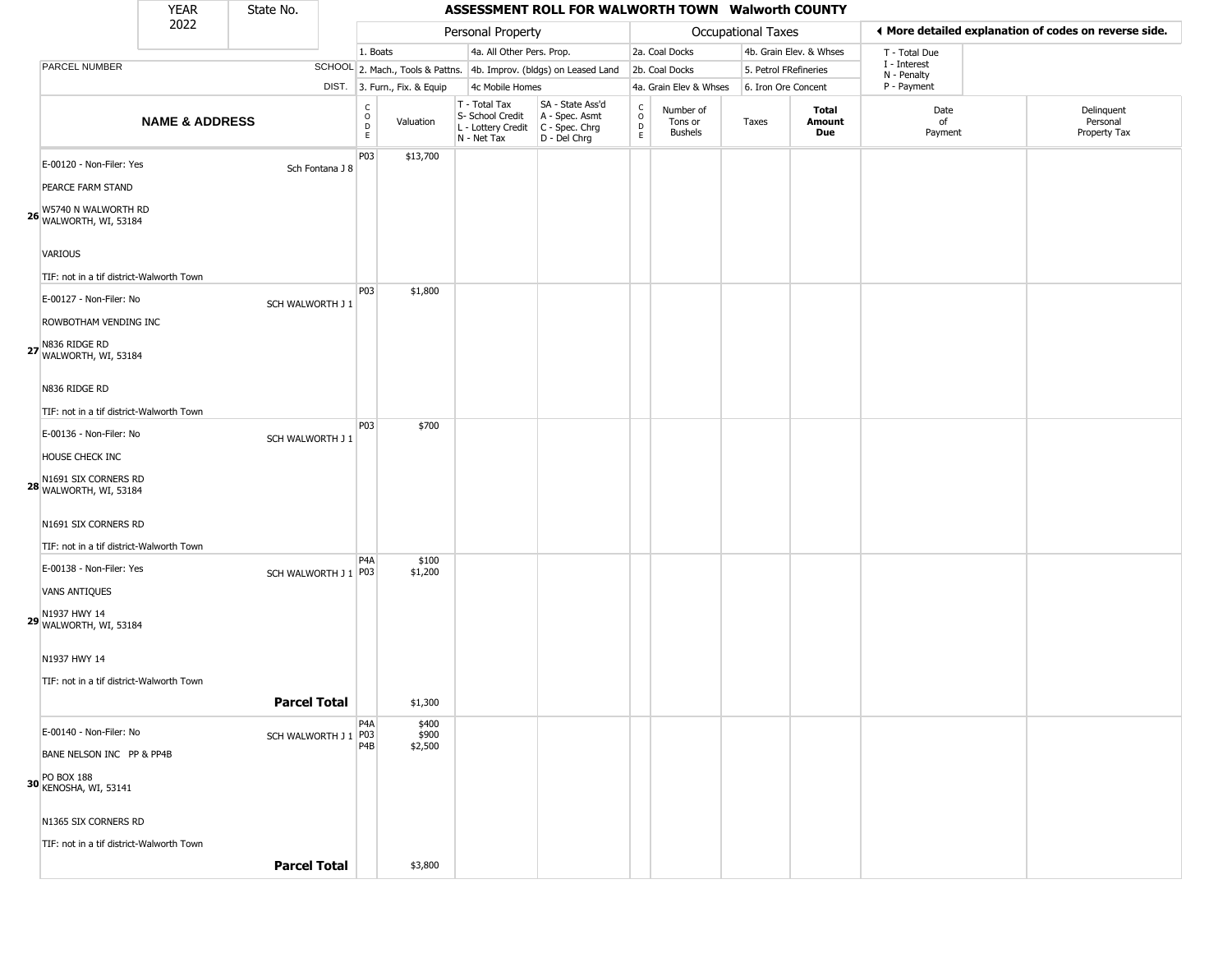### YEAR **ASSESSMENT ROLL FOR WALWORTH TOWN Walworth COUNTY** 2022 DIST. 3. Furn., Fix. & Equip PARCEL NUMBER **NAME & ADDRESS** State No. C O D E Valuation T - Total Tax S- School Credit A - Spec. Asmt L - Lottery Credit C - Spec. Chrg N - Net Tax SA - State Ass'd D - Del Chrg C O D E Number of Tons or Bushels Taxes **Total Amount Due** Date of Payment Delinquent Personal Property Tax Personal Property **Personal Property Personal Taxes** 1. Boats **4a. All Other Pers. Prop.** 2a. Coal Docks 4b. Grain Elev. & Whses SCHOOL 2. Mach., Tools & Pattns. 4b. Improv. (bldgs) on Leased Land 2b. Coal Docks 5. Petrol FRefineries 4c Mobile Homes 4a. Grain Elev & Whses 6. Iron Ore Concent T - Total Due I - Interest N - Penalty P - Payment 3**More detailed explanation of codes on reverse side. 26** WALWORTH, WI, 53184 E-00120 - Non-Filer: Yes Sch Fontana J 8 PEARCE FARM STAND W5740 N WALWORTH RD VARIOUS TIF: not in a tif district-Walworth Town P03 \$13,700 **27** WALWORTH, WI, 53184 E-00127 - Non-Filer: No SCH WALWORTH J 1 ROWBOTHAM VENDING INC N836 RIDGE RD N836 RIDGE RD TIF: not in a tif district-Walworth Town P03 \$1,800 **28** WALWORTH, WI, 53184 E-00136 - Non-Filer: No SCH WALWORTH J 1 HOUSE CHECK INC N1691 SIX CORNERS RD N1691 SIX CORNERS RD TIF: not in a tif district-Walworth Town P03 \$700 **29** WALWORTH, WI, 53184  $E$ -00138 - Non-Filer: Yes SCH WALWORTH J 1 P03 VANS ANTIQUES N1937 HWY 14 N1937 HWY 14 TIF: not in a tif district-Walworth Town P4A \$100 \$1,200 **Parcel Total 1** \$1,300 **30** PO BOX 188 KENOSHA, WI, 53141  $E$ -00140 - Non-Filer: No SCH WALWORTH J 1 P03 BANE NELSON INC PP & PP4B N1365 SIX CORNERS RD TIF: not in a tif district-Walworth Town P4A P4B \$400 \$900 \$2,500

**Parcel Total** \$3,800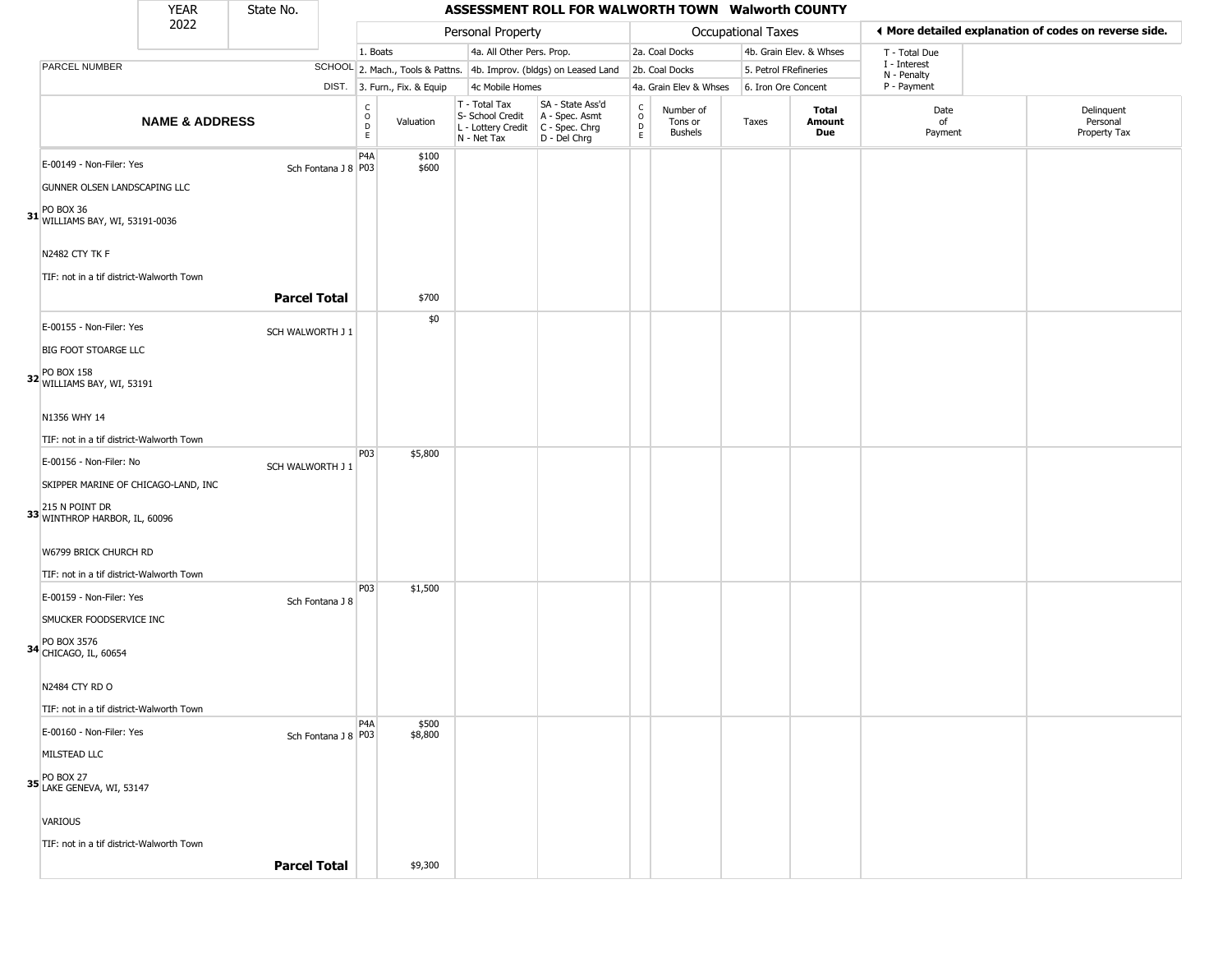### YEAR **ASSESSMENT ROLL FOR WALWORTH TOWN Walworth COUNTY** 2022 DIST. 3. Furn., Fix. & Equip PARCEL NUMBER **NAME & ADDRESS** State No. C O D E Valuation T - Total Tax S- School Credit A - Spec. Asmt L - Lottery Credit C - Spec. Chrg N - Net Tax SA - State Ass'd D - Del Chrg C O D E Number of Tons or Bushels Taxes **Total Amount Due** Date of Payment Delinquent Personal Property Tax Personal Property **Personal Property Personal Taxes** 1. Boats **4a. All Other Pers. Prop.** 2a. Coal Docks 4b. Grain Elev. & Whses SCHOOL 2. Mach., Tools & Pattns. 4b. Improv. (bldgs) on Leased Land 2b. Coal Docks 5. Petrol FRefineries 4c Mobile Homes 4a. Grain Elev & Whses 6. Iron Ore Concent T - Total Due I - Interest N - Penalty P - Payment 3**More detailed explanation of codes on reverse side. 31** WILLIAMS BAY, WI, 53191-0036 E-00149 - Non-Filer: Yes Sch Fontana J 8 P03 GUNNER OLSEN LANDSCAPING LLC PO BOX 36 N2482 CTY TK F TIF: not in a tif district-Walworth Town P4A \$100 \$600 **Parcel Total** \$700 **32** WILLIAMS BAY, WI, 53191 E-00155 - Non-Filer: Yes SCH WALWORTH J 1 **BIG FOOT STOARGE LLC** PO BOX 158 N1356 WHY 14 TIF: not in a tif district-Walworth Town \$0 **33** 215 N POINT DR WINTHROP HARBOR, IL, 60096 E-00156 - Non-Filer: No SCH WALWORTH J 1 SKIPPER MARINE OF CHICAGO-LAND, INC W6799 BRICK CHURCH RD TIF: not in a tif district-Walworth Town P03 \$5,800 **34** CHICAGO, IL, 60654 E-00159 - Non-Filer: Yes Sch Fontana J 8 SMUCKER FOODSERVICE INC PO BOX 3576 N2484 CTY RD O TIF: not in a tif district-Walworth Town P03 \$1,500 **35** LAKE GENEVA, WI, 53147 E-00160 - Non-Filer: Yes MILSTEAD LLC PO BOX 27 VARIOUS TIF: not in a tif district-Walworth Town P4A Sch Fontana J 8 P03 \$500 \$8,800

**Parcel Total 1** \$9,300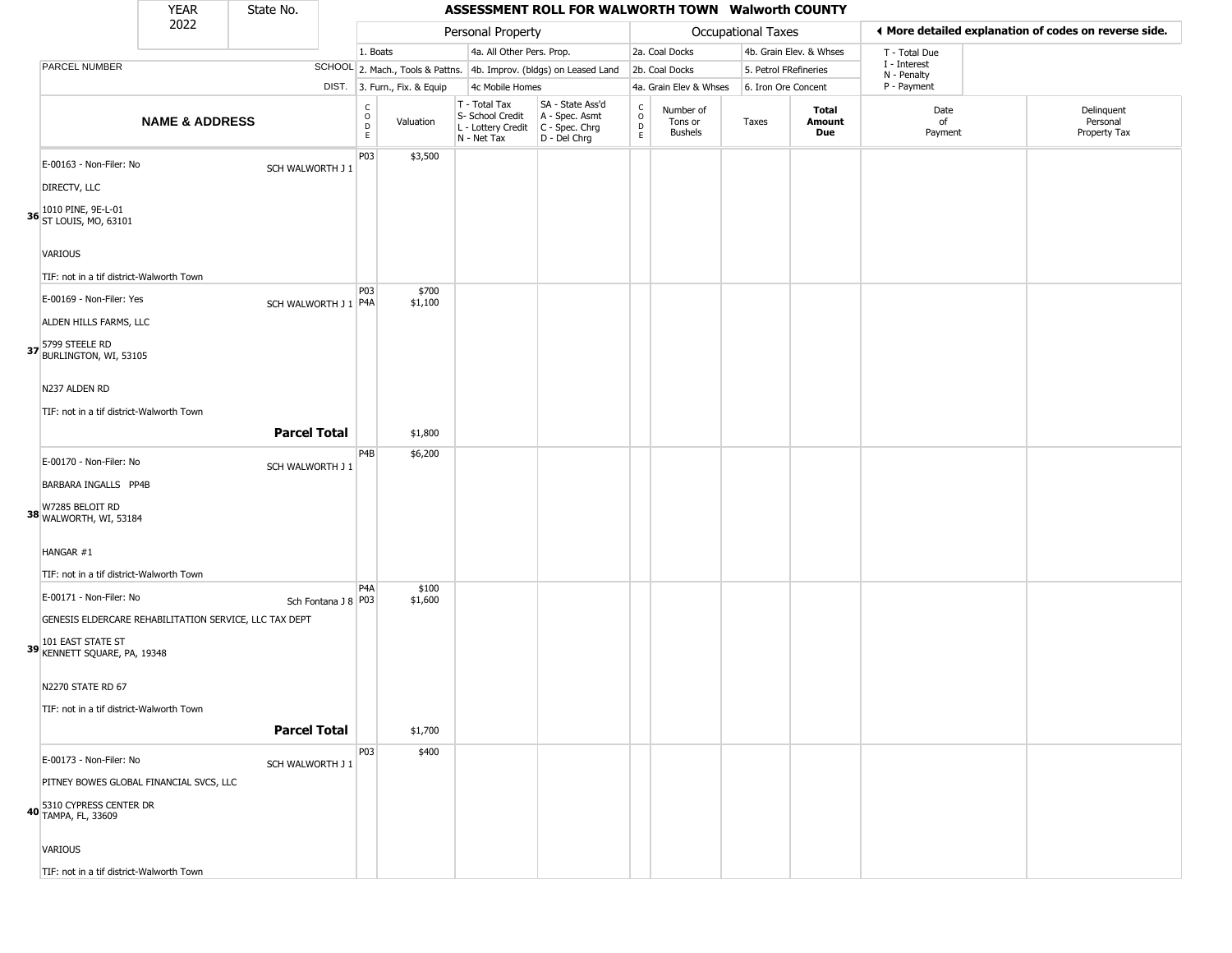| YFAR | State No. |  |
|------|-----------|--|
| 2022 |           |  |

## **ASSESSMENT ROLL FOR WALWORTH TOWN Walworth COUNTY**

|                                                   | 2022                                                   |                      |                                            |                              | Personal Property                                                      |                                                                      |                        |                                        | Occupational Taxes    |                         |                             | I More detailed explanation of codes on reverse side. |
|---------------------------------------------------|--------------------------------------------------------|----------------------|--------------------------------------------|------------------------------|------------------------------------------------------------------------|----------------------------------------------------------------------|------------------------|----------------------------------------|-----------------------|-------------------------|-----------------------------|-------------------------------------------------------|
|                                                   |                                                        |                      | 1. Boats                                   |                              | 4a. All Other Pers. Prop.                                              |                                                                      |                        | 2a. Coal Docks                         |                       | 4b. Grain Elev. & Whses | T - Total Due               |                                                       |
| <b>PARCEL NUMBER</b>                              |                                                        |                      |                                            |                              |                                                                        | SCHOOL 2. Mach., Tools & Pattns. 4b. Improv. (bldgs) on Leased Land  |                        | 2b. Coal Docks                         | 5. Petrol FRefineries |                         | I - Interest<br>N - Penalty |                                                       |
|                                                   |                                                        |                      |                                            | DIST. 3. Furn., Fix. & Equip | 4c Mobile Homes                                                        |                                                                      |                        | 4a. Grain Elev & Whses                 | 6. Iron Ore Concent   |                         | P - Payment                 |                                                       |
|                                                   | <b>NAME &amp; ADDRESS</b>                              |                      | C<br>$\circ$<br>$\mathsf D$<br>$\mathsf E$ | Valuation                    | T - Total Tax<br>S- School Credit<br>L - Lottery Credit<br>N - Net Tax | SA - State Ass'd<br>A - Spec. Asmt<br>C - Spec. Chrg<br>D - Del Chrg | C<br>$\circ$<br>D<br>E | Number of<br>Tons or<br><b>Bushels</b> | Taxes                 | Total<br>Amount<br>Due  | Date<br>of<br>Payment       | Delinquent<br>Personal<br>Property Tax                |
| E-00163 - Non-Filer: No                           |                                                        | SCH WALWORTH J 1     | P03                                        | \$3,500                      |                                                                        |                                                                      |                        |                                        |                       |                         |                             |                                                       |
| DIRECTV, LLC                                      |                                                        |                      |                                            |                              |                                                                        |                                                                      |                        |                                        |                       |                         |                             |                                                       |
| 36 1010 PINE, 9E-L-01<br>36 ST LOUIS, MO, 63101   |                                                        |                      |                                            |                              |                                                                        |                                                                      |                        |                                        |                       |                         |                             |                                                       |
| <b>VARIOUS</b>                                    |                                                        |                      |                                            |                              |                                                                        |                                                                      |                        |                                        |                       |                         |                             |                                                       |
| TIF: not in a tif district-Walworth Town          |                                                        |                      |                                            |                              |                                                                        |                                                                      |                        |                                        |                       |                         |                             |                                                       |
| E-00169 - Non-Filer: Yes                          |                                                        | SCH WALWORTH J 1 P4A | P03                                        | \$700<br>\$1,100             |                                                                        |                                                                      |                        |                                        |                       |                         |                             |                                                       |
| ALDEN HILLS FARMS, LLC                            |                                                        |                      |                                            |                              |                                                                        |                                                                      |                        |                                        |                       |                         |                             |                                                       |
| 37 5799 STEELE RD<br>BURLINGTON, WI, 53105        |                                                        |                      |                                            |                              |                                                                        |                                                                      |                        |                                        |                       |                         |                             |                                                       |
| N237 ALDEN RD                                     |                                                        |                      |                                            |                              |                                                                        |                                                                      |                        |                                        |                       |                         |                             |                                                       |
| TIF: not in a tif district-Walworth Town          |                                                        |                      |                                            |                              |                                                                        |                                                                      |                        |                                        |                       |                         |                             |                                                       |
|                                                   |                                                        | <b>Parcel Total</b>  |                                            | \$1,800                      |                                                                        |                                                                      |                        |                                        |                       |                         |                             |                                                       |
| E-00170 - Non-Filer: No                           |                                                        | SCH WALWORTH J 1     | P4B                                        | \$6,200                      |                                                                        |                                                                      |                        |                                        |                       |                         |                             |                                                       |
| BARBARA INGALLS PP4B                              |                                                        |                      |                                            |                              |                                                                        |                                                                      |                        |                                        |                       |                         |                             |                                                       |
| W7285 BELOIT RD<br>38 WALWORTH, WI, 53184         |                                                        |                      |                                            |                              |                                                                        |                                                                      |                        |                                        |                       |                         |                             |                                                       |
| HANGAR #1                                         |                                                        |                      |                                            |                              |                                                                        |                                                                      |                        |                                        |                       |                         |                             |                                                       |
| TIF: not in a tif district-Walworth Town          |                                                        |                      |                                            |                              |                                                                        |                                                                      |                        |                                        |                       |                         |                             |                                                       |
| E-00171 - Non-Filer: No                           |                                                        | Sch Fontana J 8 P03  | P <sub>4</sub> A                           | \$100<br>\$1,600             |                                                                        |                                                                      |                        |                                        |                       |                         |                             |                                                       |
|                                                   | GENESIS ELDERCARE REHABILITATION SERVICE, LLC TAX DEPT |                      |                                            |                              |                                                                        |                                                                      |                        |                                        |                       |                         |                             |                                                       |
| 39 101 EAST STATE ST<br>KENNETT SQUARE, PA, 19348 |                                                        |                      |                                            |                              |                                                                        |                                                                      |                        |                                        |                       |                         |                             |                                                       |
| N2270 STATE RD 67                                 |                                                        |                      |                                            |                              |                                                                        |                                                                      |                        |                                        |                       |                         |                             |                                                       |
| TIF: not in a tif district-Walworth Town          |                                                        |                      |                                            |                              |                                                                        |                                                                      |                        |                                        |                       |                         |                             |                                                       |
|                                                   |                                                        | <b>Parcel Total</b>  |                                            | \$1,700                      |                                                                        |                                                                      |                        |                                        |                       |                         |                             |                                                       |
| E-00173 - Non-Filer: No                           |                                                        | SCH WALWORTH J 1     | P03                                        | \$400                        |                                                                        |                                                                      |                        |                                        |                       |                         |                             |                                                       |
|                                                   | PITNEY BOWES GLOBAL FINANCIAL SVCS, LLC                |                      |                                            |                              |                                                                        |                                                                      |                        |                                        |                       |                         |                             |                                                       |
| 5310 CYPRESS CENTER DR<br>40 TAMPA, FL, 33609     |                                                        |                      |                                            |                              |                                                                        |                                                                      |                        |                                        |                       |                         |                             |                                                       |
| VARIOUS                                           |                                                        |                      |                                            |                              |                                                                        |                                                                      |                        |                                        |                       |                         |                             |                                                       |
| TIF: not in a tif district-Walworth Town          |                                                        |                      |                                            |                              |                                                                        |                                                                      |                        |                                        |                       |                         |                             |                                                       |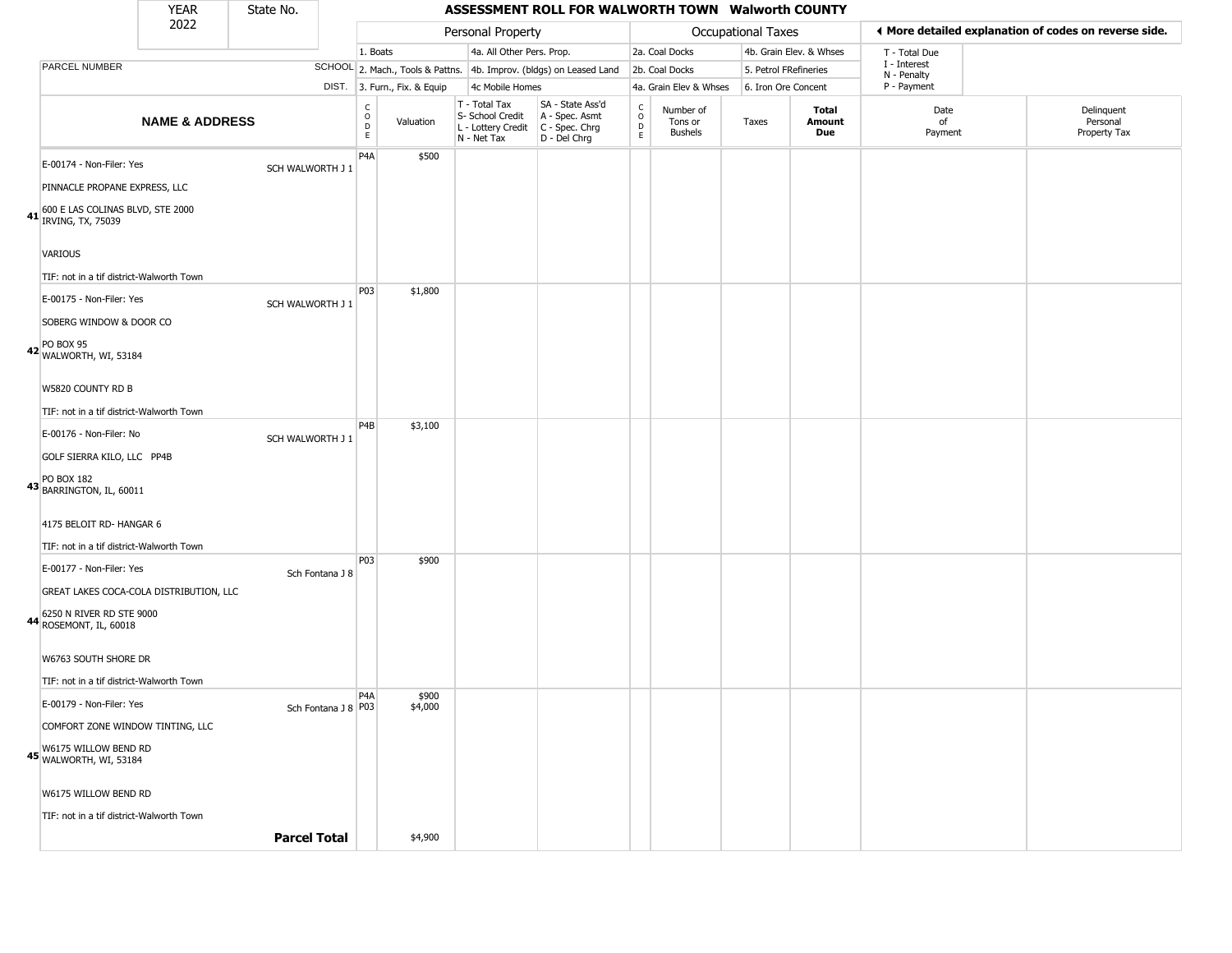### YEAR **ASSESSMENT ROLL FOR WALWORTH TOWN Walworth COUNTY** 2022 DIST. 3. Furn., Fix. & Equip PARCEL NUMBER **NAME & ADDRESS** State No. C O D E Valuation T - Total Tax S- School Credit A - Spec. Asmt L - Lottery Credit C - Spec. Chrg N - Net Tax SA - State Ass'd D - Del Chrg C O D E Number of Tons or Bushels Taxes **Total Amount Due** Date of Payment Delinquent Personal Property Tax Personal Property **Personal Property Personal Taxes** 1. Boats **4a. All Other Pers. Prop.** 2a. Coal Docks 4b. Grain Elev. & Whses SCHOOL 2. Mach., Tools & Pattns. 4b. Improv. (bldgs) on Leased Land 2b. Coal Docks 5. Petrol FRefineries 4c Mobile Homes 4a. Grain Elev & Whses 6. Iron Ore Concent T - Total Due I - Interest N - Penalty P - Payment 3**More detailed explanation of codes on reverse side. 41** 600 E LAS COLINAS BLVD, STE 2000 IRVING, TX, 75039 E-00174 - Non-Filer: Yes SCH WALWORTH J 1 PINNACLE PROPANE EXPRESS, LLC VARIOUS TIF: not in a tif district-Walworth Town P4A \$500 **42** WALWORTH, WI, 53184 E-00175 - Non-Filer: Yes SCH WALWORTH J 1 SOBERG WINDOW & DOOR CO PO BOX 95 W5820 COUNTY RD B TIF: not in a tif district-Walworth Town P03 \$1,800 **43** PO BOX 182 BARRINGTON, IL, 60011 E-00176 - Non-Filer: No SCH WALWORTH J 1 GOLF SIERRA KILO, LLC PP4B 4175 BELOIT RD- HANGAR 6 TIF: not in a tif district-Walworth Town P4B \$3,100 **44** ROSEMONT, IL, 60018 E-00177 - Non-Filer: Yes Sch Fontana J 8 GREAT LAKES COCA-COLA DISTRIBUTION, LLC 6250 N RIVER RD STE 9000 W6763 SOUTH SHORE DR TIF: not in a tif district-Walworth Town P03 \$900 **45** W6175 WILLOW BEND RD WALWORTH, WI, 53184 E-00179 - Non-Filer: Yes COMFORT ZONE WINDOW TINTING, LLC W6175 WILLOW BEND RD TIF: not in a tif district-Walworth Town P4A Sch Fontana J 8 P03 \$900 \$4,000

**Parcel Total** | \$4,900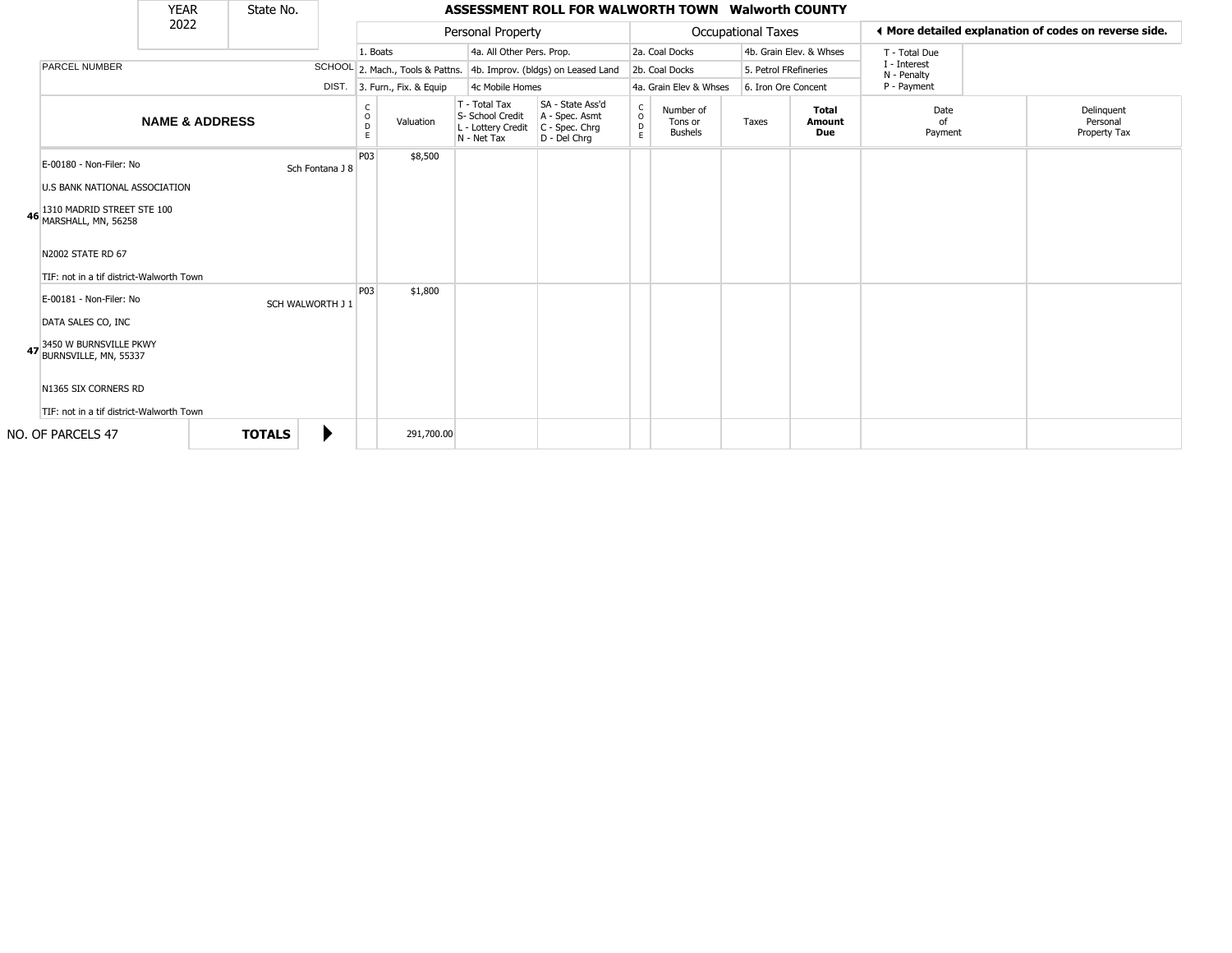|                                                                                                                                                                                                                                                                                                                         | <b>YEAR</b>               | State No.        |                 |                        |                                  |                                                                        | ASSESSMENT ROLL FOR WALWORTH TOWN Walworth COUNTY                    |                                   |                                        |                           |                               |                             |                                                       |
|-------------------------------------------------------------------------------------------------------------------------------------------------------------------------------------------------------------------------------------------------------------------------------------------------------------------------|---------------------------|------------------|-----------------|------------------------|----------------------------------|------------------------------------------------------------------------|----------------------------------------------------------------------|-----------------------------------|----------------------------------------|---------------------------|-------------------------------|-----------------------------|-------------------------------------------------------|
|                                                                                                                                                                                                                                                                                                                         | 2022                      |                  |                 |                        |                                  | Personal Property                                                      |                                                                      |                                   |                                        | <b>Occupational Taxes</b> |                               |                             | ♦ More detailed explanation of codes on reverse side. |
|                                                                                                                                                                                                                                                                                                                         |                           |                  |                 | 1. Boats               |                                  | 4a. All Other Pers. Prop.                                              |                                                                      |                                   | 2a. Coal Docks                         |                           | 4b. Grain Elev. & Whses       | T - Total Due               |                                                       |
| <b>PARCEL NUMBER</b>                                                                                                                                                                                                                                                                                                    |                           |                  |                 |                        | SCHOOL 2. Mach., Tools & Pattns. |                                                                        | 4b. Improv. (bldgs) on Leased Land                                   |                                   | 2b. Coal Docks                         |                           | 5. Petrol FRefineries         | I - Interest<br>N - Penalty |                                                       |
|                                                                                                                                                                                                                                                                                                                         |                           |                  |                 |                        | DIST. 3. Furn., Fix. & Equip     | 4c Mobile Homes                                                        |                                                                      |                                   | 4a. Grain Elev & Whses                 |                           | 6. Iron Ore Concent           | P - Payment                 |                                                       |
|                                                                                                                                                                                                                                                                                                                         | <b>NAME &amp; ADDRESS</b> |                  |                 | C<br>$\circ$<br>D<br>E | Valuation                        | T - Total Tax<br>S- School Credit<br>L - Lottery Credit<br>N - Net Tax | SA - State Ass'd<br>A - Spec. Asmt<br>C - Spec. Chrg<br>D - Del Chrq | $\mathsf{C}$<br>$\circ$<br>D<br>E | Number of<br>Tons or<br><b>Bushels</b> | Taxes                     | Total<br><b>Amount</b><br>Due | Date<br>of<br>Payment       | Delinquent<br>Personal<br>Property Tax                |
| E-00180 - Non-Filer: No<br><b>U.S BANK NATIONAL ASSOCIATION</b><br>1310 MADRID STREET STE 100<br>46 MARSHALL, MN, 56258<br>N2002 STATE RD 67<br>TIF: not in a tif district-Walworth Town<br>E-00181 - Non-Filer: No<br>DATA SALES CO, INC<br>3450 W BURNSVILLE PKWY<br>47 BURNSVILLE, MN, 55337<br>N1365 SIX CORNERS RD |                           | SCH WALWORTH J 1 | Sch Fontana J 8 | P03<br>P03             | \$8,500<br>\$1,800               |                                                                        |                                                                      |                                   |                                        |                           |                               |                             |                                                       |
| TIF: not in a tif district-Walworth Town                                                                                                                                                                                                                                                                                |                           |                  |                 |                        |                                  |                                                                        |                                                                      |                                   |                                        |                           |                               |                             |                                                       |
| NO. OF PARCELS 47                                                                                                                                                                                                                                                                                                       |                           | <b>TOTALS</b>    |                 |                        | 291,700.00                       |                                                                        |                                                                      |                                   |                                        |                           |                               |                             |                                                       |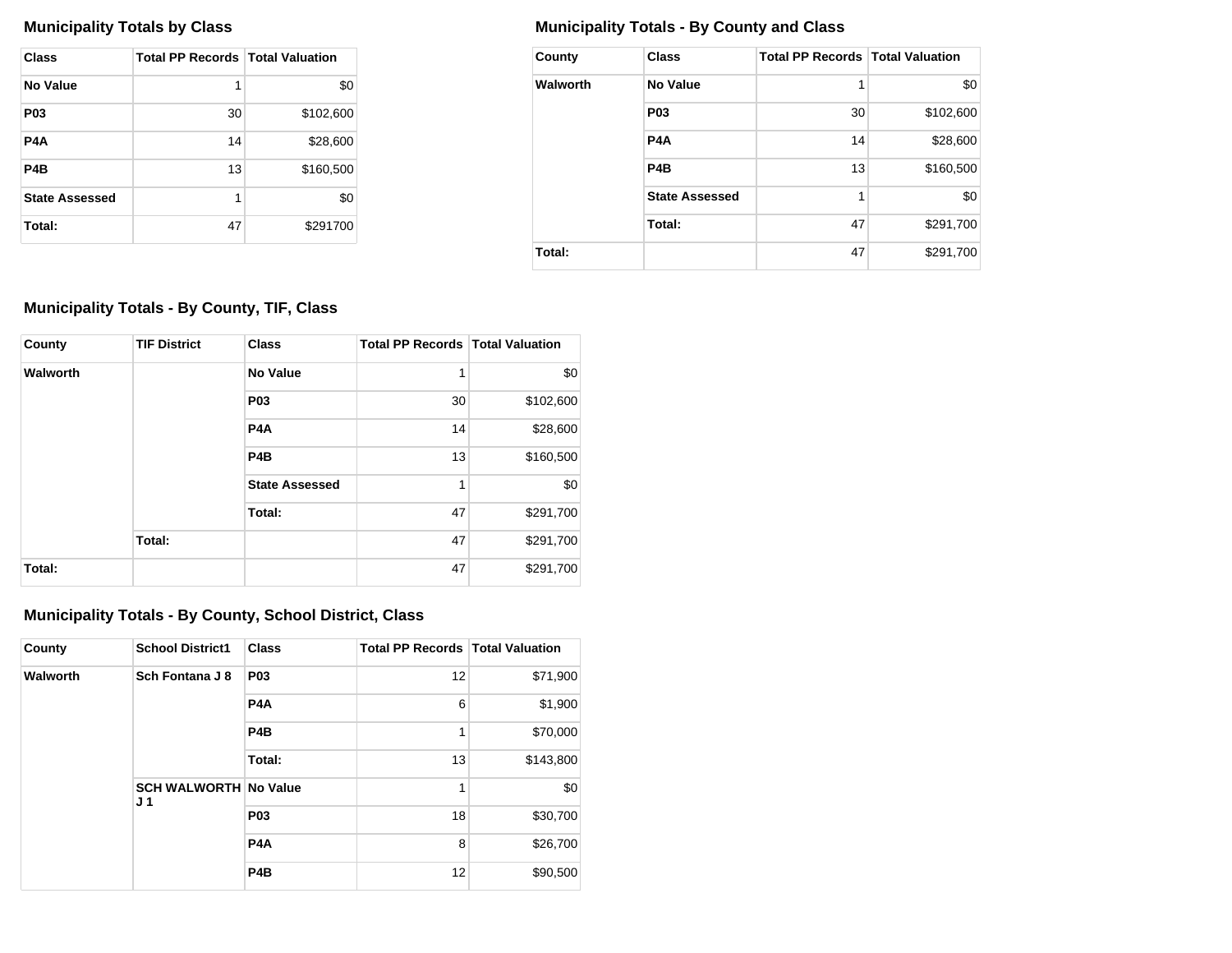| Class                 | <b>Total PP Records   Total Valuation</b> |           |
|-----------------------|-------------------------------------------|-----------|
| No Value              | 1                                         | \$0       |
| <b>P03</b>            | 30                                        | \$102,600 |
| P4A                   | 14                                        | \$28,600  |
| P <sub>4</sub> B      | 13                                        | \$160,500 |
| <b>State Assessed</b> | 1                                         | \$0       |
| Total:                | 47                                        | \$291700  |

# **Municipality Totals by Class Municipality Totals - By County and Class**

| County   | <b>Class</b>          | <b>Total PP Records   Total Valuation</b> |           |
|----------|-----------------------|-------------------------------------------|-----------|
| Walworth | <b>No Value</b>       | 1                                         | \$0       |
|          | P <sub>0</sub> 3      | 30                                        | \$102,600 |
|          | P4A                   | 14                                        | \$28,600  |
|          | P <sub>4</sub> B      | 13                                        | \$160,500 |
|          | <b>State Assessed</b> | 1                                         | \$0       |
|          | Total:                | 47                                        | \$291,700 |
| Total:   |                       | 47                                        | \$291,700 |

# **Municipality Totals - By County, TIF, Class**

| County   | <b>TIF District</b> | <b>Class</b>          | <b>Total PP Records   Total Valuation</b> |           |
|----------|---------------------|-----------------------|-------------------------------------------|-----------|
| Walworth |                     | No Value              | 1                                         | \$0       |
|          |                     | <b>P03</b>            | 30                                        | \$102,600 |
|          |                     | P <sub>4</sub> A      | 14                                        | \$28,600  |
|          |                     | P <sub>4</sub> B      | 13                                        | \$160,500 |
|          |                     | <b>State Assessed</b> | 1                                         | \$0       |
|          |                     | Total:                | 47                                        | \$291,700 |
|          | Total:              |                       | 47                                        | \$291,700 |
| Total:   |                     |                       | 47                                        | \$291,700 |

# **Municipality Totals - By County, School District, Class**

| County   | <b>School District1</b>                        | <b>Class</b>     | <b>Total PP Records   Total Valuation</b> |           |
|----------|------------------------------------------------|------------------|-------------------------------------------|-----------|
| Walworth | Sch Fontana J 8                                | <b>P03</b>       | 12                                        | \$71,900  |
|          |                                                | P <sub>4</sub> A | 6                                         | \$1,900   |
|          |                                                | P <sub>4</sub> B | 1                                         | \$70,000  |
|          |                                                | Total:           | 13                                        | \$143,800 |
|          | <b>SCH WALWORTH No Value</b><br>J <sub>1</sub> |                  | 1                                         | \$0       |
|          |                                                | <b>P03</b>       | 18                                        | \$30,700  |
|          |                                                | P <sub>4</sub> A | 8                                         | \$26,700  |
|          |                                                | P <sub>4</sub> B | 12                                        | \$90,500  |